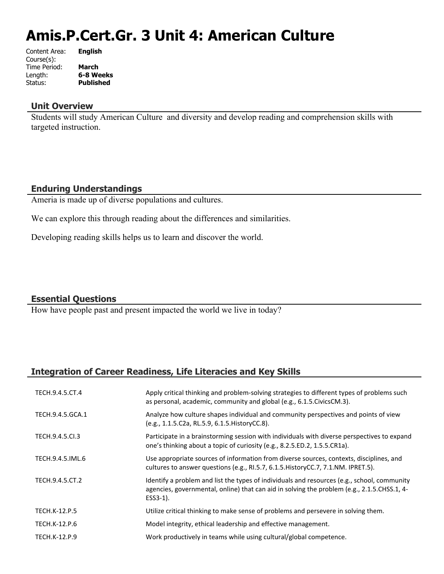# **Amis.P.Cert.Gr. 3 Unit 4: American Culture**

| Content Area: | <b>English</b>   |
|---------------|------------------|
| Course(s):    |                  |
| Time Period:  | <b>March</b>     |
| Length:       | 6-8 Weeks        |
| Status:       | <b>Published</b> |
|               |                  |

#### **Unit Overview**

Students will study American Culture and diversity and develop reading and comprehension skills with targeted instruction.

## **Enduring Understandings**

Ameria is made up of diverse populations and cultures.

We can explore this through reading about the differences and similarities.

Developing reading skills helps us to learn and discover the world.

## **Essential Questions**

How have people past and present impacted the world we live in today?

## **Integration of Career Readiness, Life Literacies and Key Skills**

| TECH.9.4.5.CT.4      | Apply critical thinking and problem-solving strategies to different types of problems such<br>as personal, academic, community and global (e.g., 6.1.5. Civics CM.3).                                     |
|----------------------|-----------------------------------------------------------------------------------------------------------------------------------------------------------------------------------------------------------|
| TECH.9.4.5.GCA.1     | Analyze how culture shapes individual and community perspectives and points of view<br>(e.g., 1.1.5.C2a, RL.5.9, 6.1.5. HistoryCC.8).                                                                     |
| TECH.9.4.5.Cl.3      | Participate in a brainstorming session with individuals with diverse perspectives to expand<br>one's thinking about a topic of curiosity (e.g., 8.2.5.ED.2, 1.5.5.CR1a).                                  |
| TECH.9.4.5.IML.6     | Use appropriate sources of information from diverse sources, contexts, disciplines, and<br>cultures to answer questions (e.g., RI.5.7, 6.1.5. History CC.7, 7.1. NM. IPRET.5).                            |
| TECH.9.4.5.CT.2      | Identify a problem and list the types of individuals and resources (e.g., school, community<br>agencies, governmental, online) that can aid in solving the problem (e.g., 2.1.5.CHSS.1, 4-<br>$ESS3-1$ ). |
| <b>TECH.K-12.P.5</b> | Utilize critical thinking to make sense of problems and persevere in solving them.                                                                                                                        |
| TECH.K-12.P.6        | Model integrity, ethical leadership and effective management.                                                                                                                                             |
| TECH.K-12.P.9        | Work productively in teams while using cultural/global competence.                                                                                                                                        |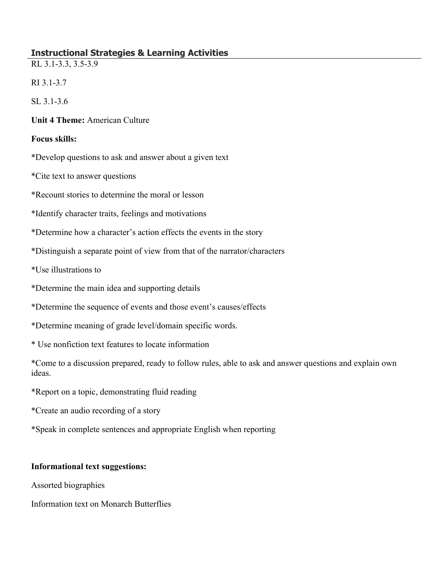# **Instructional Strategies & Learning Activities**

RL 3.1-3.3, 3.5-3.9

RI 3.1-3.7

SL 3.1-3.6

### **Unit 4 Theme:** American Culture

#### **Focus skills:**

\*Develop questions to ask and answer about a given text

\*Cite text to answer questions

\*Recount stories to determine the moral or lesson

\*Identify character traits, feelings and motivations

\*Determine how a character's action effects the events in the story

\*Distinguish a separate point of view from that of the narrator/characters

\*Use illustrations to

- \*Determine the main idea and supporting details
- \*Determine the sequence of events and those event's causes/effects
- \*Determine meaning of grade level/domain specific words.
- \* Use nonfiction text features to locate information

\*Come to a discussion prepared, ready to follow rules, able to ask and answer questions and explain own ideas.

\*Report on a topic, demonstrating fluid reading

\*Create an audio recording of a story

\*Speak in complete sentences and appropriate English when reporting

## **Informational text suggestions:**

Assorted biographies

Information text on Monarch Butterflies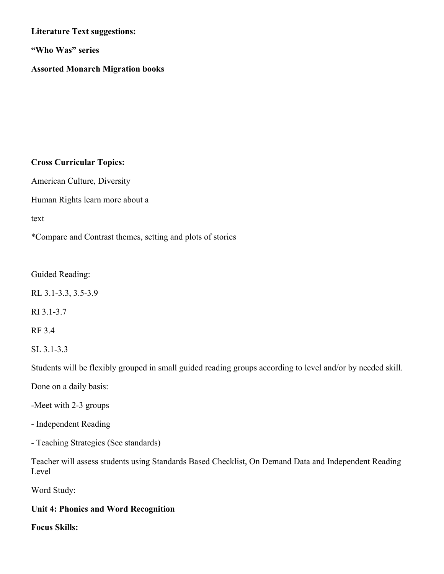## **Literature Text suggestions:**

**"Who Was" series**

## **Assorted Monarch Migration books**

#### **Cross Curricular Topics:**

American Culture, Diversity

Human Rights learn more about a

text

\*Compare and Contrast themes, setting and plots of stories

Guided Reading:

RL 3.1-3.3, 3.5-3.9

RI 3.1-3.7

RF 3.4

SL 3.1-3.3

Students will be flexibly grouped in small guided reading groups according to level and/or by needed skill.

Done on a daily basis:

-Meet with 2-3 groups

- Independent Reading

- Teaching Strategies (See standards)

Teacher will assess students using Standards Based Checklist, On Demand Data and Independent Reading Level

Word Study:

## **Unit 4: Phonics and Word Recognition**

**Focus Skills:**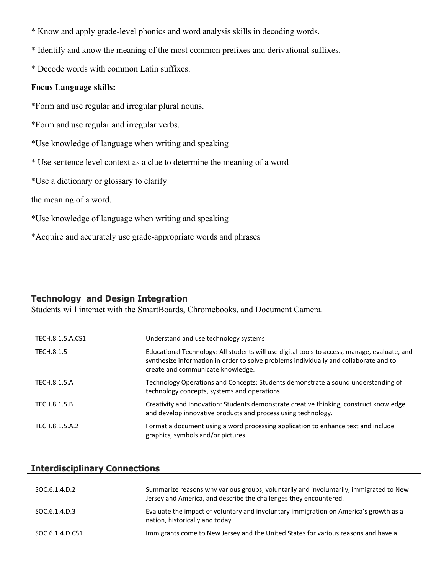- \* Know and apply grade-level phonics and word analysis skills in decoding words.
- \* Identify and know the meaning of the most common prefixes and derivational suffixes.
- \* Decode words with common Latin suffixes.

#### **Focus Language skills:**

- \*Form and use regular and irregular plural nouns.
- \*Form and use regular and irregular verbs.
- \*Use knowledge of language when writing and speaking
- \* Use sentence level context as a clue to determine the meaning of a word
- \*Use a dictionary or glossary to clarify
- the meaning of a word.
- \*Use knowledge of language when writing and speaking
- \*Acquire and accurately use grade-appropriate words and phrases

## **Technology and Design Integration**

Students will interact with the SmartBoards, Chromebooks, and Document Camera.

| TECH.8.1.5.A.CS1 | Understand and use technology systems                                                                                                                                                                                      |
|------------------|----------------------------------------------------------------------------------------------------------------------------------------------------------------------------------------------------------------------------|
| TECH.8.1.5       | Educational Technology: All students will use digital tools to access, manage, evaluate, and<br>synthesize information in order to solve problems individually and collaborate and to<br>create and communicate knowledge. |
| TECH.8.1.5.A     | Technology Operations and Concepts: Students demonstrate a sound understanding of<br>technology concepts, systems and operations.                                                                                          |
| TECH.8.1.5.B     | Creativity and Innovation: Students demonstrate creative thinking, construct knowledge<br>and develop innovative products and process using technology.                                                                    |
| TECH.8.1.5.A.2   | Format a document using a word processing application to enhance text and include<br>graphics, symbols and/or pictures.                                                                                                    |

## **Interdisciplinary Connections**

| SOC.6.1.4.D.2   | Summarize reasons why various groups, voluntarily and involuntarily, immigrated to New<br>Jersey and America, and describe the challenges they encountered. |
|-----------------|-------------------------------------------------------------------------------------------------------------------------------------------------------------|
| SOC.6.1.4.D.3   | Evaluate the impact of voluntary and involuntary immigration on America's growth as a<br>nation, historically and today.                                    |
| SOC.6.1.4.D.CS1 | Immigrants come to New Jersey and the United States for various reasons and have a                                                                          |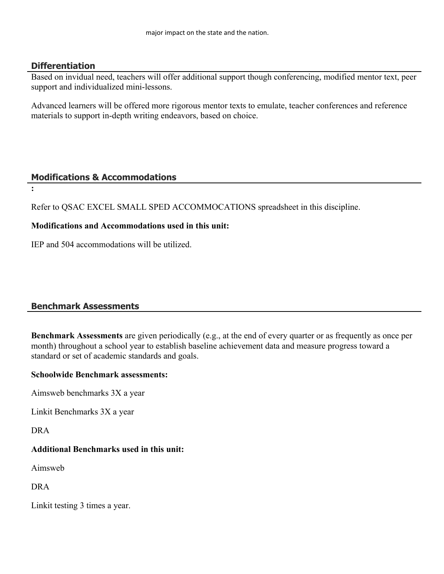## **Differentiation**

Based on invidual need, teachers will offer additional support though conferencing, modified mentor text, peer support and individualized mini-lessons.

Advanced learners will be offered more rigorous mentor texts to emulate, teacher conferences and reference materials to support in-depth writing endeavors, based on choice.

## **Modifications & Accommodations**

**:**

Refer to QSAC EXCEL SMALL SPED ACCOMMOCATIONS spreadsheet in this discipline.

## **Modifications and Accommodations used in this unit:**

IEP and 504 accommodations will be utilized.

## **Benchmark Assessments**

**Benchmark Assessments** are given periodically (e.g., at the end of every quarter or as frequently as once per month) throughout a school year to establish baseline achievement data and measure progress toward a standard or set of academic standards and goals.

## **Schoolwide Benchmark assessments:**

Aimsweb benchmarks 3X a year

Linkit Benchmarks 3X a year

DRA

## **Additional Benchmarks used in this unit:**

Aimsweb

DRA

Linkit testing 3 times a year.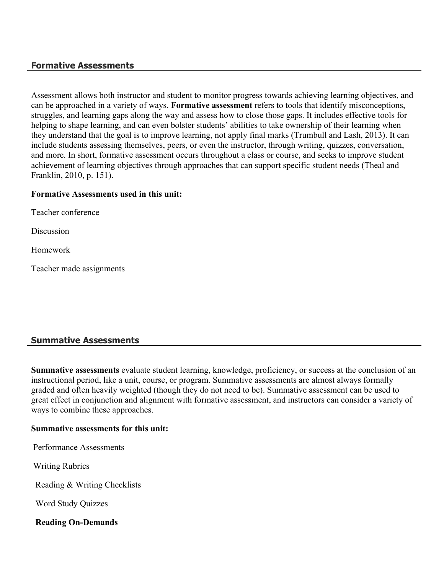## **Formative Assessments**

Assessment allows both instructor and student to monitor progress towards achieving learning objectives, and can be approached in a variety of ways. **Formative assessment** refers to tools that identify misconceptions, struggles, and learning gaps along the way and assess how to close those gaps. It includes effective tools for helping to shape learning, and can even bolster students' abilities to take ownership of their learning when they understand that the goal is to improve learning, not apply final marks (Trumbull and Lash, 2013). It can include students assessing themselves, peers, or even the instructor, through writing, quizzes, conversation, and more. In short, formative assessment occurs throughout a class or course, and seeks to improve student achievement of learning objectives through approaches that can support specific student needs (Theal and Franklin, 2010, p. 151).

#### **Formative Assessments used in this unit:**

Teacher conference

**Discussion** 

Homework

Teacher made assignments

## **Summative Assessments**

**Summative assessments** evaluate student learning, knowledge, proficiency, or success at the conclusion of an instructional period, like a unit, course, or program. Summative assessments are almost always formally graded and often heavily weighted (though they do not need to be). Summative assessment can be used to great effect in conjunction and alignment with formative assessment, and instructors can consider a variety of ways to combine these approaches.

#### **Summative assessments for this unit:**

Performance Assessments

Writing Rubrics

Reading & Writing Checklists

Word Study Quizzes

**Reading On-Demands**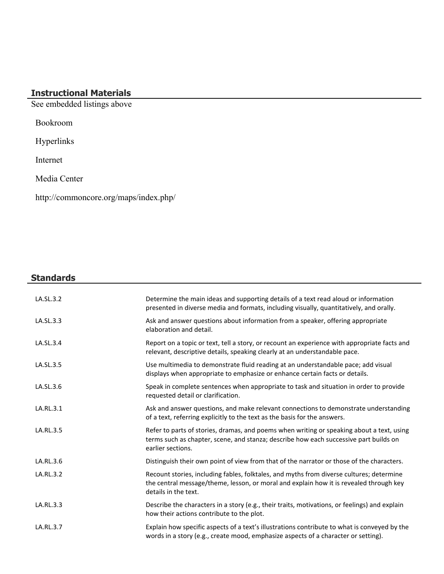# **Instructional Materials**

See embedded listings above

Bookroom

Hyperlinks

Internet

Media Center

http://commoncore.org/maps/index.php/

## **Standards**

| LA.SL.3.2 | Determine the main ideas and supporting details of a text read aloud or information<br>presented in diverse media and formats, including visually, quantitatively, and orally.                             |
|-----------|------------------------------------------------------------------------------------------------------------------------------------------------------------------------------------------------------------|
| LA.SL.3.3 | Ask and answer questions about information from a speaker, offering appropriate<br>elaboration and detail.                                                                                                 |
| LA.SL.3.4 | Report on a topic or text, tell a story, or recount an experience with appropriate facts and<br>relevant, descriptive details, speaking clearly at an understandable pace.                                 |
| LA.SL.3.5 | Use multimedia to demonstrate fluid reading at an understandable pace; add visual<br>displays when appropriate to emphasize or enhance certain facts or details.                                           |
| LA.SL.3.6 | Speak in complete sentences when appropriate to task and situation in order to provide<br>requested detail or clarification.                                                                               |
| LA.RL.3.1 | Ask and answer questions, and make relevant connections to demonstrate understanding<br>of a text, referring explicitly to the text as the basis for the answers.                                          |
| LA.RL.3.5 | Refer to parts of stories, dramas, and poems when writing or speaking about a text, using<br>terms such as chapter, scene, and stanza; describe how each successive part builds on<br>earlier sections.    |
| LA.RL.3.6 | Distinguish their own point of view from that of the narrator or those of the characters.                                                                                                                  |
| LA.RL.3.2 | Recount stories, including fables, folktales, and myths from diverse cultures; determine<br>the central message/theme, lesson, or moral and explain how it is revealed through key<br>details in the text. |
| LA.RL.3.3 | Describe the characters in a story (e.g., their traits, motivations, or feelings) and explain<br>how their actions contribute to the plot.                                                                 |
| LA.RL.3.7 | Explain how specific aspects of a text's illustrations contribute to what is conveyed by the<br>words in a story (e.g., create mood, emphasize aspects of a character or setting).                         |